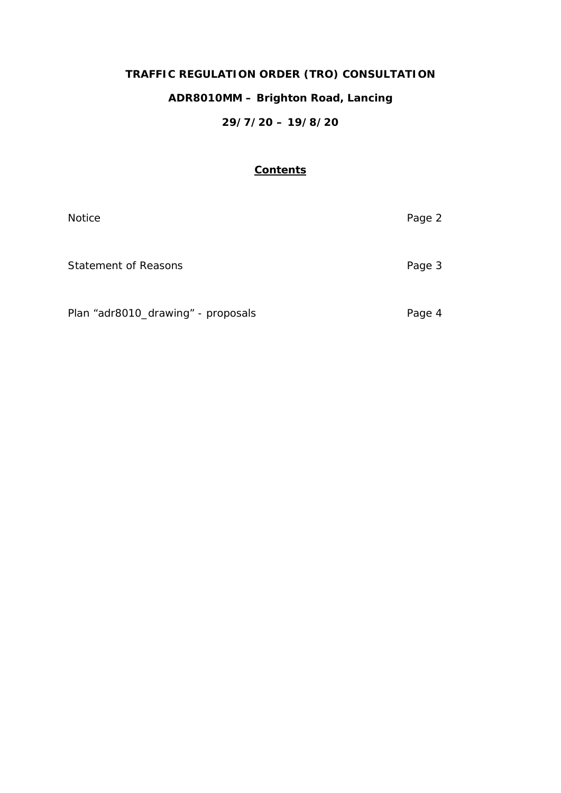# **TRAFFIC REGULATION ORDER (TRO) CONSULTATION**

# **ADR8010MM – Brighton Road, Lancing**

## **29/7/20 – 19/8/20**

## **Contents**

| <b>Notice</b>                      | Page 2 |
|------------------------------------|--------|
| <b>Statement of Reasons</b>        | Page 3 |
| Plan "adr8010_drawing" - proposals | Page 4 |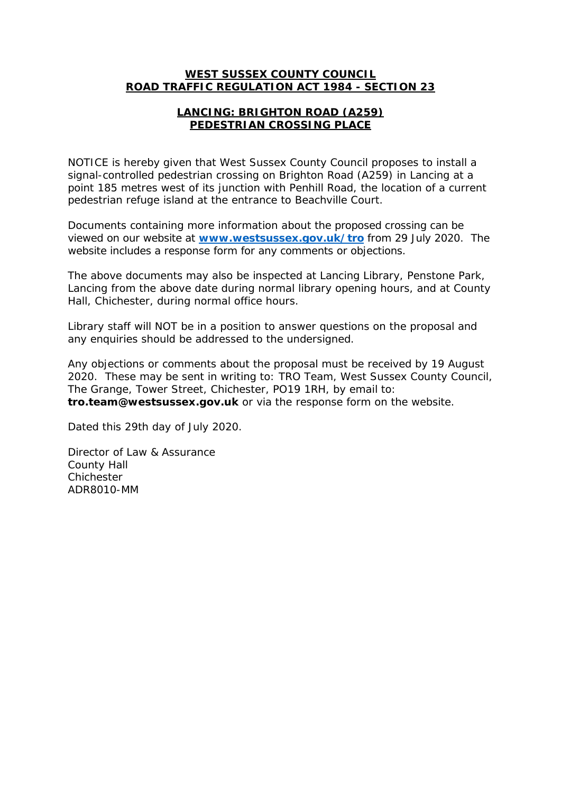#### **WEST SUSSEX COUNTY COUNCIL ROAD TRAFFIC REGULATION ACT 1984 - SECTION 23**

### **LANCING: BRIGHTON ROAD (A259) PEDESTRIAN CROSSING PLACE**

NOTICE is hereby given that West Sussex County Council proposes to install a signal-controlled pedestrian crossing on Brighton Road (A259) in Lancing at a point 185 metres west of its junction with Penhill Road, the location of a current pedestrian refuge island at the entrance to Beachville Court.

Documents containing more information about the proposed crossing can be viewed on our website at **[www.westsussex.gov.uk/tro](http://www.westsussex.gov.uk/tro)** from 29 July 2020. The website includes a response form for any comments or objections.

The above documents may also be inspected at Lancing Library, Penstone Park, Lancing from the above date during normal library opening hours, and at County Hall, Chichester, during normal office hours.

Library staff will NOT be in a position to answer questions on the proposal and any enquiries should be addressed to the undersigned.

Any objections or comments about the proposal must be received by 19 August 2020. These may be sent in writing to: TRO Team, West Sussex County Council, The Grange, Tower Street, Chichester, PO19 1RH, by email to: **tro.team@westsussex.gov.uk** or via the response form on the website.

Dated this 29th day of July 2020.

Director of Law & Assurance County Hall Chichester ADR8010-MM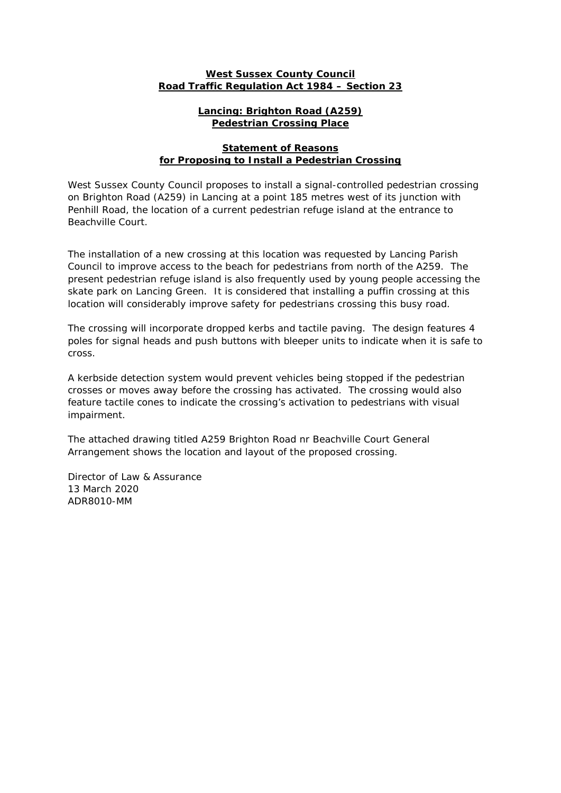#### **West Sussex County Council Road Traffic Regulation Act 1984 – Section 23**

#### **Lancing: Brighton Road (A259) Pedestrian Crossing Place**

#### **Statement of Reasons for Proposing to Install a Pedestrian Crossing**

West Sussex County Council proposes to install a signal-controlled pedestrian crossing on Brighton Road (A259) in Lancing at a point 185 metres west of its junction with Penhill Road, the location of a current pedestrian refuge island at the entrance to Beachville Court.

The installation of a new crossing at this location was requested by Lancing Parish Council to improve access to the beach for pedestrians from north of the A259. The present pedestrian refuge island is also frequently used by young people accessing the skate park on Lancing Green. It is considered that installing a puffin crossing at this location will considerably improve safety for pedestrians crossing this busy road.

The crossing will incorporate dropped kerbs and tactile paving. The design features 4 poles for signal heads and push buttons with bleeper units to indicate when it is safe to cross.

A kerbside detection system would prevent vehicles being stopped if the pedestrian crosses or moves away before the crossing has activated. The crossing would also feature tactile cones to indicate the crossing's activation to pedestrians with visual impairment.

The attached drawing titled A259 Brighton Road nr Beachville Court General Arrangement shows the location and layout of the proposed crossing.

Director of Law & Assurance 13 March 2020 ADR8010-MM